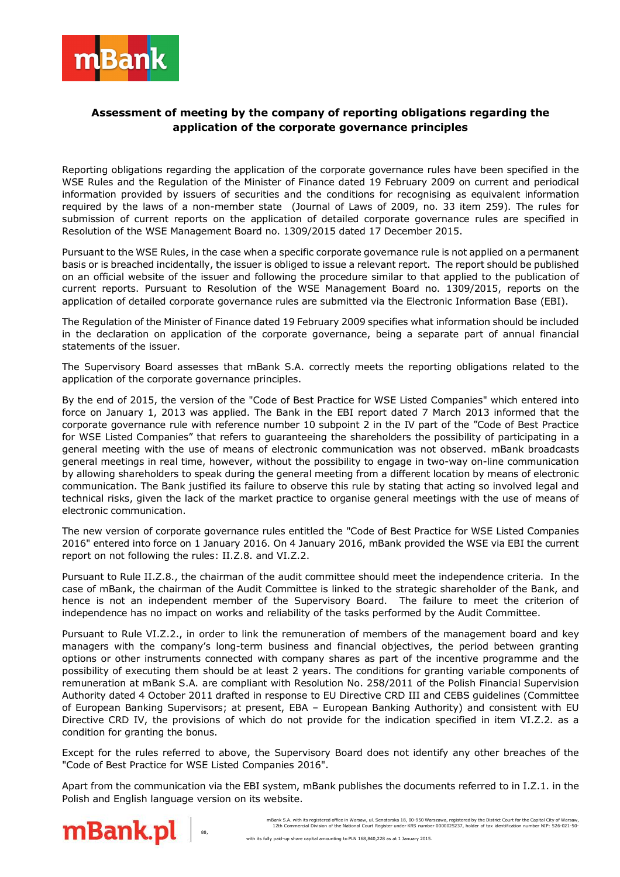

## **Assessment of meeting by the company of reporting obligations regarding the application of the corporate governance principles**

Reporting obligations regarding the application of the corporate governance rules have been specified in the WSE Rules and the Regulation of the Minister of Finance dated 19 February 2009 on current and periodical information provided by issuers of securities and the conditions for recognising as equivalent information required by the laws of a non-member state (Journal of Laws of 2009, no. 33 item 259). The rules for submission of current reports on the application of detailed corporate governance rules are specified in Resolution of the WSE Management Board no. 1309/2015 dated 17 December 2015.

Pursuant to the WSE Rules, in the case when a specific corporate governance rule is not applied on a permanent basis or is breached incidentally, the issuer is obliged to issue a relevant report. The report should be published on an official website of the issuer and following the procedure similar to that applied to the publication of current reports. Pursuant to Resolution of the WSE Management Board no. 1309/2015, reports on the application of detailed corporate governance rules are submitted via the Electronic Information Base (EBI).

The Regulation of the Minister of Finance dated 19 February 2009 specifies what information should be included in the declaration on application of the corporate governance, being a separate part of annual financial statements of the issuer.

The Supervisory Board assesses that mBank S.A. correctly meets the reporting obligations related to the application of the corporate governance principles.

By the end of 2015, the version of the "Code of Best Practice for WSE Listed Companies" which entered into force on January 1, 2013 was applied. The Bank in the EBI report dated 7 March 2013 informed that the corporate governance rule with reference number 10 subpoint 2 in the IV part of the "Code of Best Practice for WSE Listed Companies" that refers to guaranteeing the shareholders the possibility of participating in a general meeting with the use of means of electronic communication was not observed. mBank broadcasts general meetings in real time, however, without the possibility to engage in two-way on-line communication by allowing shareholders to speak during the general meeting from a different location by means of electronic communication. The Bank justified its failure to observe this rule by stating that acting so involved legal and technical risks, given the lack of the market practice to organise general meetings with the use of means of electronic communication.

The new version of corporate governance rules entitled the "Code of Best Practice for WSE Listed Companies 2016" entered into force on 1 January 2016. On 4 January 2016, mBank provided the WSE via EBI the current report on not following the rules: II.Z.8. and VI.Z.2.

Pursuant to Rule II.Z.8., the chairman of the audit committee should meet the independence criteria. In the case of mBank, the chairman of the Audit Committee is linked to the strategic shareholder of the Bank, and hence is not an independent member of the Supervisory Board. The failure to meet the criterion of independence has no impact on works and reliability of the tasks performed by the Audit Committee.

Pursuant to Rule VI.Z.2., in order to link the remuneration of members of the management board and key managers with the company's long-term business and financial objectives, the period between granting options or other instruments connected with company shares as part of the incentive programme and the possibility of executing them should be at least 2 years. The conditions for granting variable components of remuneration at mBank S.A. are compliant with Resolution No. 258/2011 of the Polish Financial Supervision Authority dated 4 October 2011 drafted in response to EU Directive CRD III and CEBS guidelines (Committee of European Banking Supervisors; at present, EBA – European Banking Authority) and consistent with EU Directive CRD IV, the provisions of which do not provide for the indication specified in item VI.Z.2. as a condition for granting the bonus.

Except for the rules referred to above, the Supervisory Board does not identify any other breaches of the "Code of Best Practice for WSE Listed Companies 2016".

Apart from the communication via the EBI system, mBank publishes the documents referred to in I.Z.1. in the Polish and English language version on its website.



 mBank S.A. with its registered office in Warsaw, ul. Senatorska 18, 00-950 Warszawa, registered by the District Court for the Capital City of Warsaw, 12th Commercial Division of the National Court Register under KRS number 0000025237, holder of tax identification number NIP: 526-021-50